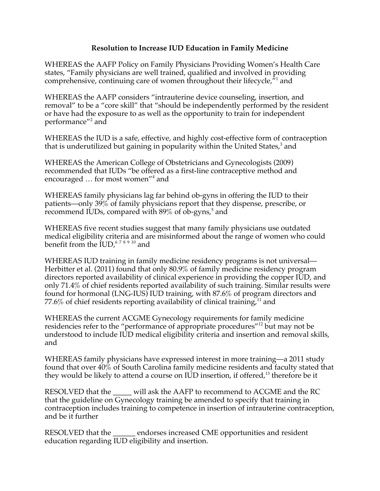## **Resolution to Increase IUD Education in Family Medicine**

WHEREAS the AAFP Policy on Family Physicians Providing Women's Health Care states, "Family physicians are well trained, qualified and involved in providing comprehensive, continuing care of women throughout their lifecycle, $\bar{r}$  and

WHEREAS the AAFP considers "intrauterine device counseling, insertion, and removal" to be a "core skill" that "should be independently performed by the resident or have had the exposure to as well as the opportunity to train for independent performance''<sup>2</sup> and

WHEREAS the IUD is a safe, effective, and highly cost-effective form of contraception that is underutilized but gaining in popularity within the United States, $^3$  and

WHEREAS the American College of Obstetricians and Gynecologists (2009) recommended that IUDs "be offered as a first-line contraceptive method and encouraged ... for most women"<sup>4</sup> and

WHEREAS family physicians lag far behind ob-gyns in offering the IUD to their patients—only 39% of family physicians report that they dispense, prescribe, or recommend IUDs, compared with  $89\%$  of ob-gyns,<sup>5</sup> and

WHEREAS five recent studies suggest that many family physicians use outdated medical eligibility criteria and are misinformed about the range of women who could benefit from the  $\text{IUD}, ^{678910}$  and

WHEREAS IUD training in family medicine residency programs is not universal— Herbitter et al. (2011) found that only 80.9% of family medicine residency program directors reported availability of clinical experience in providing the copper IUD, and only 71.4% of chief residents reported availability of such training. Similar results were found for hormonal (LNG-IUS) IUD training, with 87.6% of program directors and 77.6% of chief residents reporting availability of clinical training,<sup>11</sup> and

WHEREAS the current ACGME Gynecology requirements for family medicine residencies refer to the "performance of appropriate procedures"<sup>12</sup> but may not be understood to include IUD medical eligibility criteria and insertion and removal skills, and

WHEREAS family physicians have expressed interest in more training—a 2011 study found that over 40% of South Carolina family medicine residents and faculty stated that they would be likely to attend a course on IUD insertion, if offered,<sup>13</sup> therefore be it

RESOLVED that the \_\_\_\_\_ will ask the AAFP to recommend to ACGME and the RC that the guideline on Gynecology training be amended to specify that training in contraception includes training to competence in insertion of intrauterine contraception, and be it further

RESOLVED that the \_\_\_\_\_\_ endorses increased CME opportunities and resident education regarding IUD eligibility and insertion.